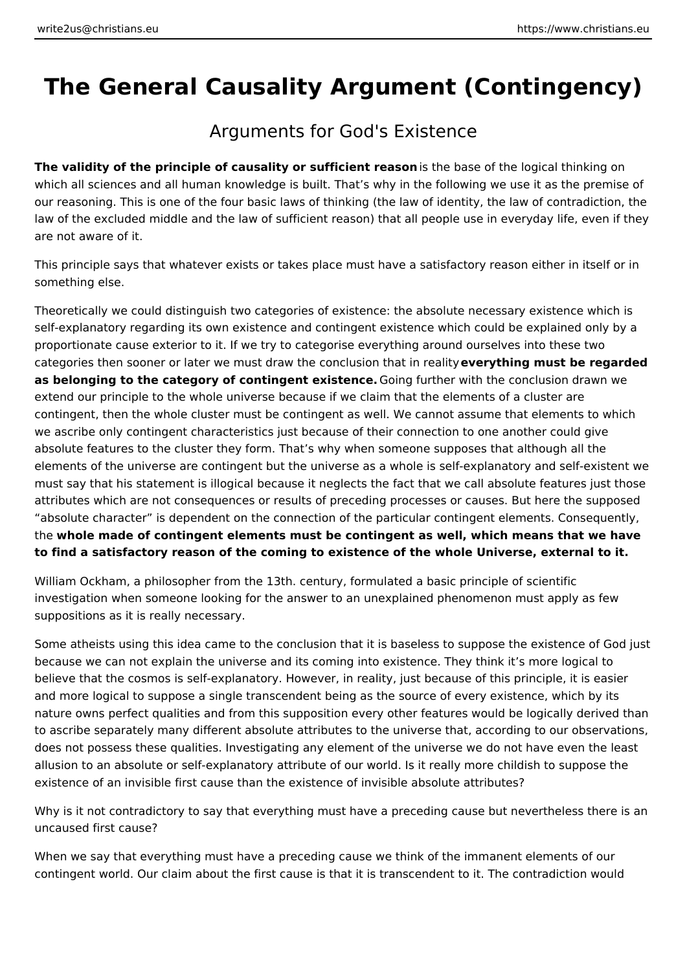# **The General Causality Argument (Contingency)**

## Arguments for God's Existence

**The validity of the principle of causality or sufficient reason** is the base of the logical thinking on which all sciences and all human knowledge is built. That's why in the following we use it as the premise of our reasoning. This is one of the four basic laws of thinking (the law of identity, the law of contradiction, the law of the excluded middle and the law of sufficient reason) that all people use in everyday life, even if they are not aware of it.

This principle says that whatever exists or takes place must have a satisfactory reason either in itself or in something else.

Theoretically we could distinguish two categories of existence: the absolute necessary existence which is self-explanatory regarding its own existence and contingent existence which could be explained only by a proportionate cause exterior to it. If we try to categorise everything around ourselves into these two categories then sooner or later we must draw the conclusion that in reality **everything must be regarded as belonging to the category of contingent existence.** Going further with the conclusion drawn we extend our principle to the whole universe because if we claim that the elements of a cluster are contingent, then the whole cluster must be contingent as well. We cannot assume that elements to which we ascribe only contingent characteristics just because of their connection to one another could give absolute features to the cluster they form. That's why when someone supposes that although all the elements of the universe are contingent but the universe as a whole is self-explanatory and self-existent we must say that his statement is illogical because it neglects the fact that we call absolute features just those attributes which are not consequences or results of preceding processes or causes. But here the supposed "absolute character" is dependent on the connection of the particular contingent elements. Consequently, the **whole made of contingent elements must be contingent as well, which means that we have to find a satisfactory reason of the coming to existence of the whole Universe, external to it.**

William Ockham, a philosopher from the 13th. century, formulated a basic principle of scientific investigation when someone looking for the answer to an unexplained phenomenon must apply as few suppositions as it is really necessary.

Some atheists using this idea came to the conclusion that it is baseless to suppose the existence of God just because we can not explain the universe and its coming into existence. They think it's more logical to believe that the cosmos is self-explanatory. However, in reality, just because of this principle, it is easier and more logical to suppose a single transcendent being as the source of every existence, which by its nature owns perfect qualities and from this supposition every other features would be logically derived than to ascribe separately many different absolute attributes to the universe that, according to our observations, does not possess these qualities. Investigating any element of the universe we do not have even the least allusion to an absolute or self-explanatory attribute of our world. Is it really more childish to suppose the existence of an invisible first cause than the existence of invisible absolute attributes?

Why is it not contradictory to say that everything must have a preceding cause but nevertheless there is an uncaused first cause?

When we say that everything must have a preceding cause we think of the immanent elements of our contingent world. Our claim about the first cause is that it is transcendent to it. The contradiction would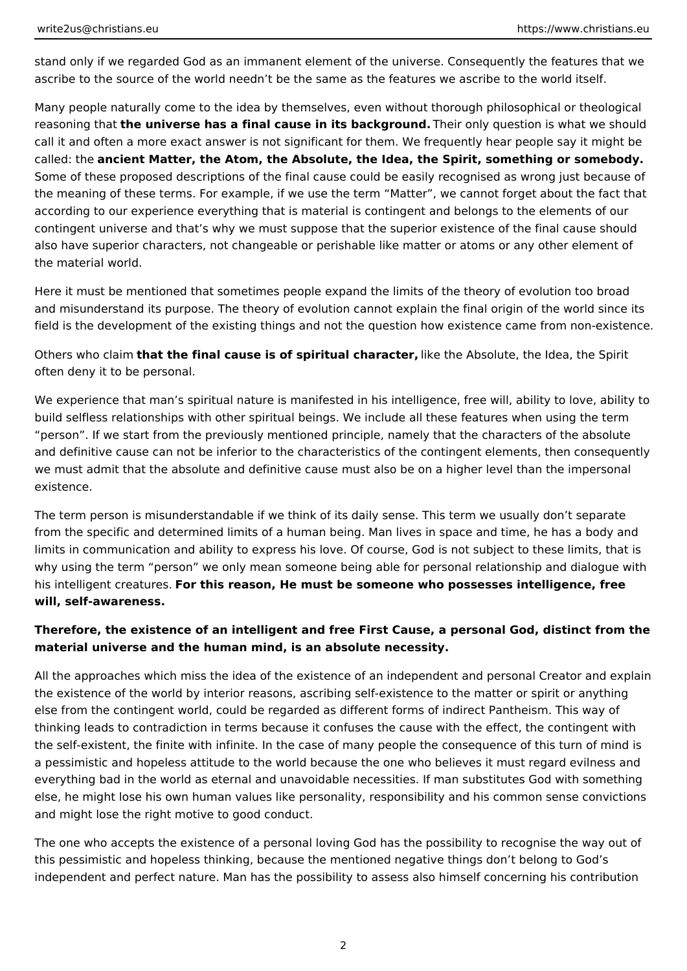stand only if we regarded God as an immanent element of the universe. Consequently the features that we ascribe to the source of the world needn't be the same as the features we ascribe to the world itself.

Many people naturally come to the idea by themselves, even without thorough philosophical or theological reasoning that **the universe has a final cause in its background.** Their only question is what we should call it and often a more exact answer is not significant for them. We frequently hear people say it might be called: the **ancient Matter, the Atom, the Absolute, the Idea, the Spirit, something or somebody.**  Some of these proposed descriptions of the final cause could be easily recognised as wrong just because of the meaning of these terms. For example, if we use the term "Matter", we cannot forget about the fact that according to our experience everything that is material is contingent and belongs to the elements of our contingent universe and that's why we must suppose that the superior existence of the final cause should also have superior characters, not changeable or perishable like matter or atoms or any other element of the material world.

Here it must be mentioned that sometimes people expand the limits of the theory of evolution too broad and misunderstand its purpose. The theory of evolution cannot explain the final origin of the world since its field is the development of the existing things and not the question how existence came from non-existence.

Others who claim **that the final cause is of spiritual character,** like the Absolute, the Idea, the Spirit often deny it to be personal.

We experience that man's spiritual nature is manifested in his intelligence, free will, ability to love, ability to build selfless relationships with other spiritual beings. We include all these features when using the term "person". If we start from the previously mentioned principle, namely that the characters of the absolute and definitive cause can not be inferior to the characteristics of the contingent elements, then consequently we must admit that the absolute and definitive cause must also be on a higher level than the impersonal existence.

The term person is misunderstandable if we think of its daily sense. This term we usually don't separate from the specific and determined limits of a human being. Man lives in space and time, he has a body and limits in communication and ability to express his love. Of course, God is not subject to these limits, that is why using the term "person" we only mean someone being able for personal relationship and dialogue with his intelligent creatures. **For this reason, He must be someone who possesses intelligence, free will, self-awareness.**

## **Therefore, the existence of an intelligent and free First Cause, a personal God, distinct from the material universe and the human mind, is an absolute necessity.**

All the approaches which miss the idea of the existence of an independent and personal Creator and explain the existence of the world by interior reasons, ascribing self-existence to the matter or spirit or anything else from the contingent world, could be regarded as different forms of indirect Pantheism. This way of thinking leads to contradiction in terms because it confuses the cause with the effect, the contingent with the self-existent, the finite with infinite. In the case of many people the consequence of this turn of mind is a pessimistic and hopeless attitude to the world because the one who believes it must regard evilness and everything bad in the world as eternal and unavoidable necessities. If man substitutes God with something else, he might lose his own human values like personality, responsibility and his common sense convictions and might lose the right motive to good conduct.

The one who accepts the existence of a personal loving God has the possibility to recognise the way out of this pessimistic and hopeless thinking, because the mentioned negative things don't belong to God's independent and perfect nature. Man has the possibility to assess also himself concerning his contribution